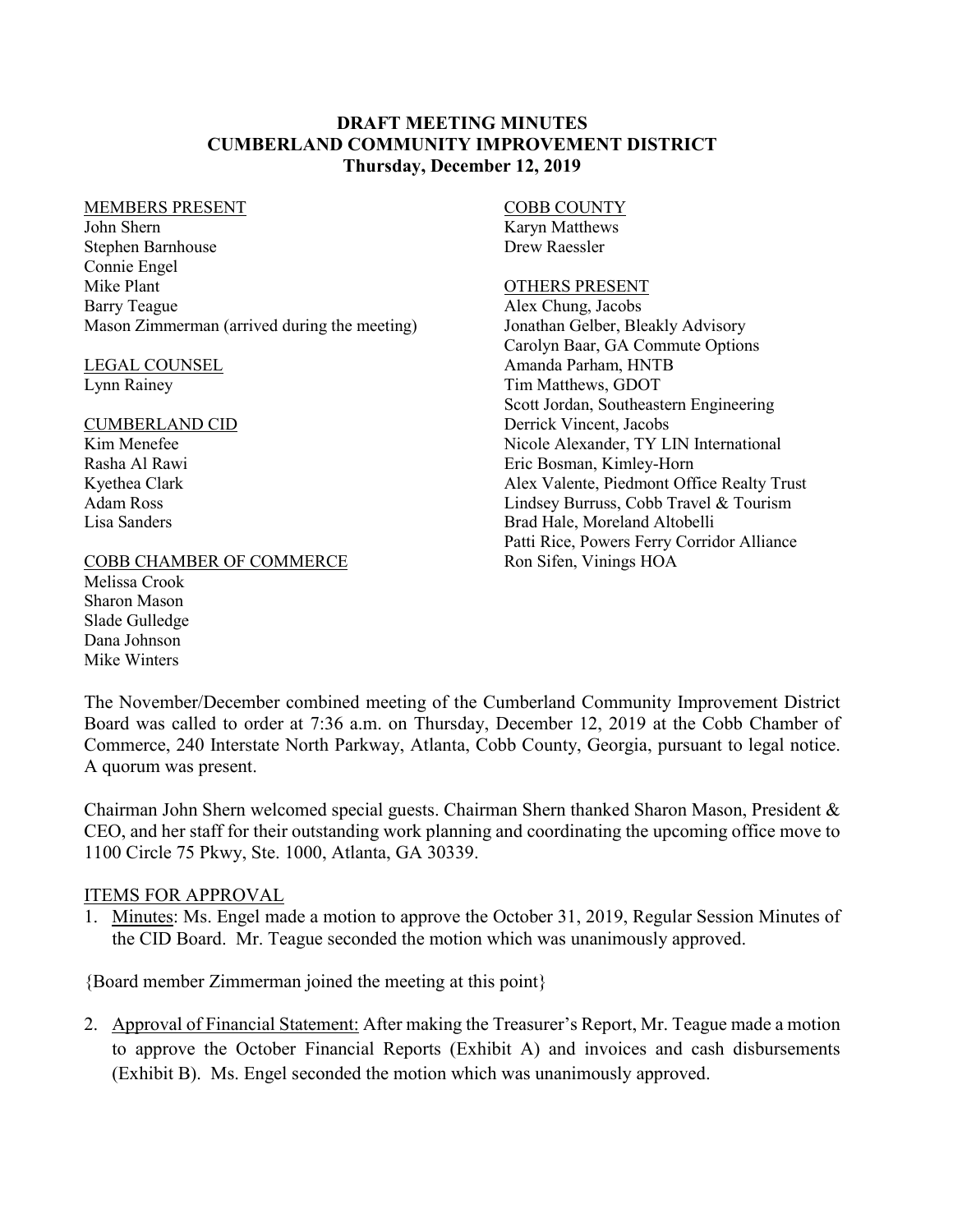### **DRAFT MEETING MINUTES CUMBERLAND COMMUNITY IMPROVEMENT DISTRICT Thursday, December 12, 2019**

#### MEMBERS PRESENT

John Shern Stephen Barnhouse Connie Engel Mike Plant Barry Teague Mason Zimmerman (arrived during the meeting)

## LEGAL COUNSEL

Lynn Rainey

#### CUMBERLAND CID Kim Menefee Rasha Al Rawi

Kyethea Clark Adam Ross Lisa Sanders

### COBB CHAMBER OF COMMERCE

Melissa Crook Sharon Mason Slade Gulledge Dana Johnson Mike Winters

### COBB COUNTY

Karyn Matthews Drew Raessler

#### OTHERS PRESENT

Alex Chung, Jacobs Jonathan Gelber, Bleakly Advisory Carolyn Baar, GA Commute Options Amanda Parham, HNTB Tim Matthews, GDOT Scott Jordan, Southeastern Engineering Derrick Vincent, Jacobs Nicole Alexander, TY LIN International Eric Bosman, Kimley-Horn Alex Valente, Piedmont Office Realty Trust Lindsey Burruss, Cobb Travel & Tourism Brad Hale, Moreland Altobelli Patti Rice, Powers Ferry Corridor Alliance Ron Sifen, Vinings HOA

The November/December combined meeting of the Cumberland Community Improvement District Board was called to order at 7:36 a.m. on Thursday, December 12, 2019 at the Cobb Chamber of Commerce, 240 Interstate North Parkway, Atlanta, Cobb County, Georgia, pursuant to legal notice. A quorum was present.

Chairman John Shern welcomed special guests. Chairman Shern thanked Sharon Mason, President & CEO, and her staff for their outstanding work planning and coordinating the upcoming office move to 1100 Circle 75 Pkwy, Ste. 1000, Atlanta, GA 30339.

#### ITEMS FOR APPROVAL

1. Minutes: Ms. Engel made a motion to approve the October 31, 2019, Regular Session Minutes of the CID Board. Mr. Teague seconded the motion which was unanimously approved.

{Board member Zimmerman joined the meeting at this point}

2. Approval of Financial Statement: After making the Treasurer's Report, Mr. Teague made a motion to approve the October Financial Reports (Exhibit A) and invoices and cash disbursements (Exhibit B). Ms. Engel seconded the motion which was unanimously approved.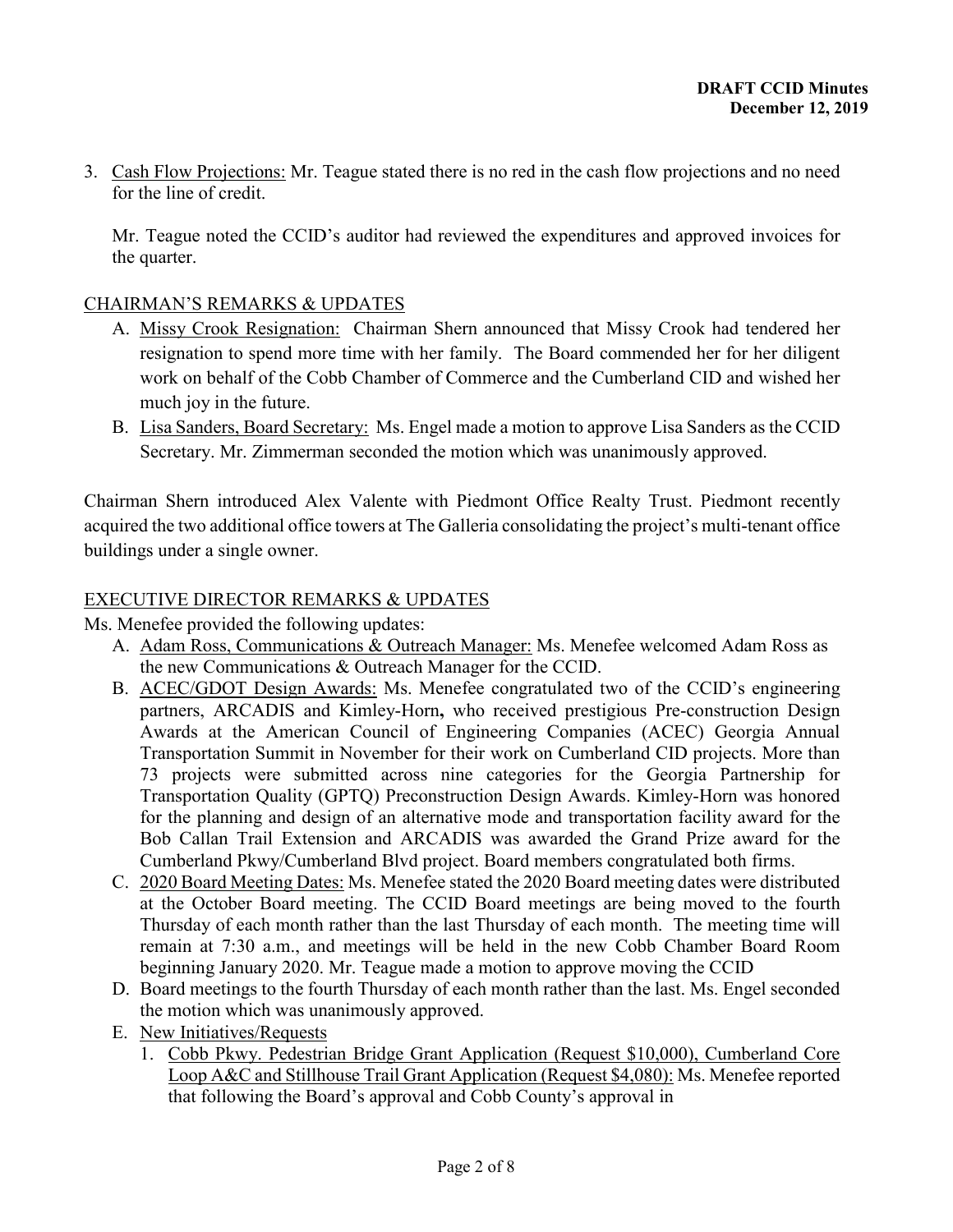3. Cash Flow Projections: Mr. Teague stated there is no red in the cash flow projections and no need for the line of credit.

Mr. Teague noted the CCID's auditor had reviewed the expenditures and approved invoices for the quarter.

## CHAIRMAN'S REMARKS & UPDATES

- A. Missy Crook Resignation: Chairman Shern announced that Missy Crook had tendered her resignation to spend more time with her family. The Board commended her for her diligent work on behalf of the Cobb Chamber of Commerce and the Cumberland CID and wished her much joy in the future.
- B. Lisa Sanders, Board Secretary: Ms. Engel made a motion to approve Lisa Sanders as the CCID Secretary. Mr. Zimmerman seconded the motion which was unanimously approved.

Chairman Shern introduced Alex Valente with Piedmont Office Realty Trust. Piedmont recently acquired the two additional office towers at The Galleria consolidating the project's multi-tenant office buildings under a single owner.

## EXECUTIVE DIRECTOR REMARKS & UPDATES

Ms. Menefee provided the following updates:

- A. Adam Ross, Communications & Outreach Manager: Ms. Menefee welcomed Adam Ross as the new Communications & Outreach Manager for the CCID.
- B. ACEC/GDOT Design Awards: Ms. Menefee congratulated two of the CCID's engineering partners, ARCADIS and Kimley-Horn**,** who received prestigious Pre-construction Design Awards at the American Council of Engineering Companies (ACEC) Georgia Annual Transportation Summit in November for their work on Cumberland CID projects. More than 73 projects were submitted across nine categories for the Georgia Partnership for Transportation Quality (GPTQ) Preconstruction Design Awards. Kimley-Horn was honored for the planning and design of an alternative mode and transportation facility award for the Bob Callan Trail Extension and ARCADIS was awarded the Grand Prize award for the Cumberland Pkwy/Cumberland Blvd project. Board members congratulated both firms.
- C. 2020 Board Meeting Dates: Ms. Menefee stated the 2020 Board meeting dates were distributed at the October Board meeting. The CCID Board meetings are being moved to the fourth Thursday of each month rather than the last Thursday of each month. The meeting time will remain at 7:30 a.m., and meetings will be held in the new Cobb Chamber Board Room beginning January 2020. Mr. Teague made a motion to approve moving the CCID
- D. Board meetings to the fourth Thursday of each month rather than the last. Ms. Engel seconded the motion which was unanimously approved.
- E. New Initiatives/Requests
	- 1. Cobb Pkwy. Pedestrian Bridge Grant Application (Request \$10,000), Cumberland Core Loop A&C and Stillhouse Trail Grant Application (Request \$4,080): Ms. Menefee reported that following the Board's approval and Cobb County's approval in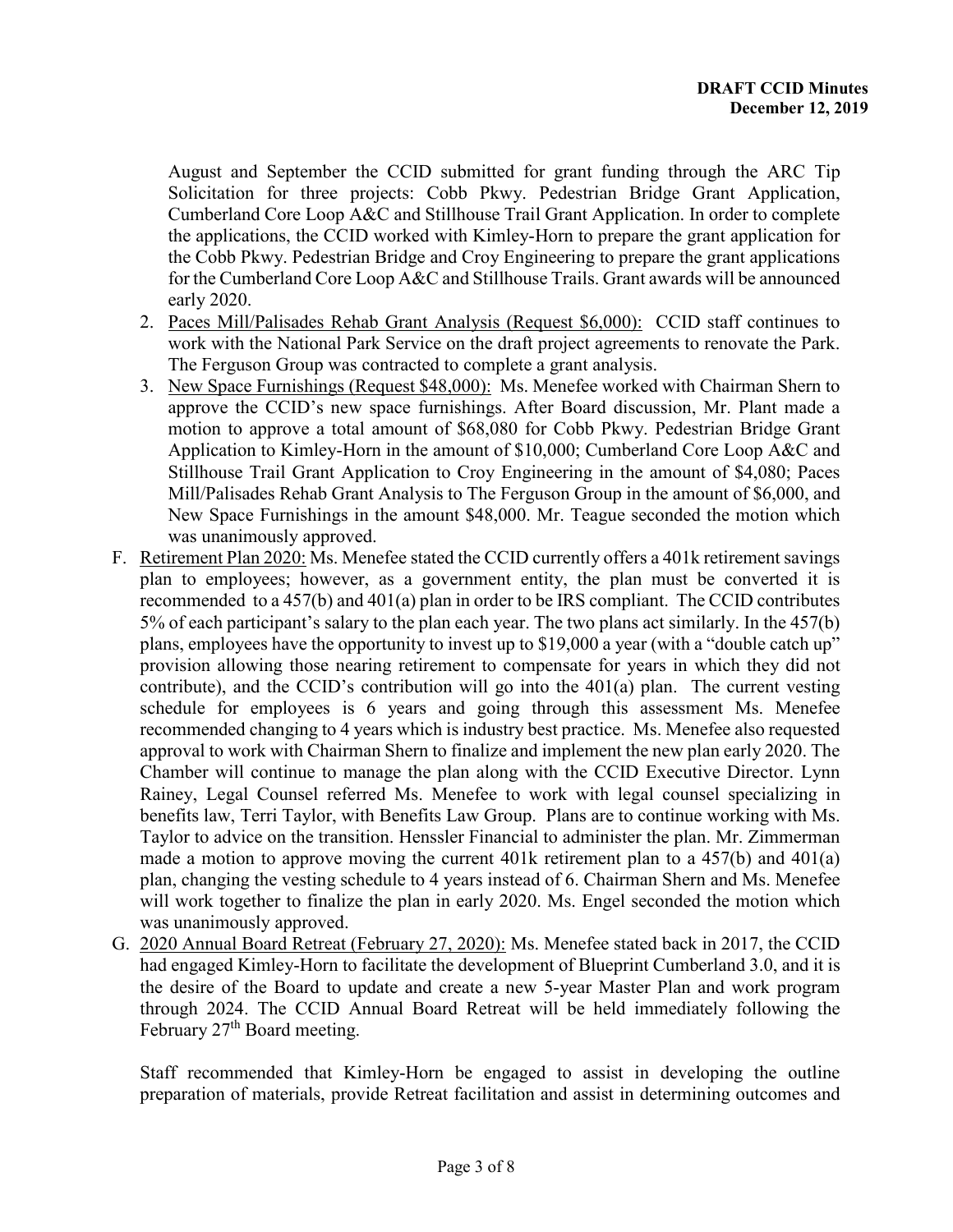August and September the CCID submitted for grant funding through the ARC Tip Solicitation for three projects: Cobb Pkwy. Pedestrian Bridge Grant Application, Cumberland Core Loop A&C and Stillhouse Trail Grant Application. In order to complete the applications, the CCID worked with Kimley-Horn to prepare the grant application for the Cobb Pkwy. Pedestrian Bridge and Croy Engineering to prepare the grant applications for the Cumberland Core Loop A&C and Stillhouse Trails. Grant awards will be announced early 2020.

- 2. Paces Mill/Palisades Rehab Grant Analysis (Request \$6,000): CCID staff continues to work with the National Park Service on the draft project agreements to renovate the Park. The Ferguson Group was contracted to complete a grant analysis.
- 3. New Space Furnishings (Request \$48,000): Ms. Menefee worked with Chairman Shern to approve the CCID's new space furnishings. After Board discussion, Mr. Plant made a motion to approve a total amount of \$68,080 for Cobb Pkwy. Pedestrian Bridge Grant Application to Kimley-Horn in the amount of \$10,000; Cumberland Core Loop A&C and Stillhouse Trail Grant Application to Croy Engineering in the amount of \$4,080; Paces Mill/Palisades Rehab Grant Analysis to The Ferguson Group in the amount of \$6,000, and New Space Furnishings in the amount \$48,000. Mr. Teague seconded the motion which was unanimously approved.
- F. Retirement Plan 2020: Ms. Menefee stated the CCID currently offers a 401k retirement savings plan to employees; however, as a government entity, the plan must be converted it is recommended to a 457(b) and 401(a) plan in order to be IRS compliant. The CCID contributes 5% of each participant's salary to the plan each year. The two plans act similarly. In the 457(b) plans, employees have the opportunity to invest up to \$19,000 a year (with a "double catch up" provision allowing those nearing retirement to compensate for years in which they did not contribute), and the CCID's contribution will go into the 401(a) plan. The current vesting schedule for employees is 6 years and going through this assessment Ms. Menefee recommended changing to 4 years which is industry best practice. Ms. Menefee also requested approval to work with Chairman Shern to finalize and implement the new plan early 2020. The Chamber will continue to manage the plan along with the CCID Executive Director. Lynn Rainey, Legal Counsel referred Ms. Menefee to work with legal counsel specializing in benefits law, Terri Taylor, with Benefits Law Group. Plans are to continue working with Ms. Taylor to advice on the transition. Henssler Financial to administer the plan. Mr. Zimmerman made a motion to approve moving the current  $401k$  retirement plan to a  $457(b)$  and  $401(a)$ plan, changing the vesting schedule to 4 years instead of 6. Chairman Shern and Ms. Menefee will work together to finalize the plan in early 2020. Ms. Engel seconded the motion which was unanimously approved.
- G. 2020 Annual Board Retreat (February 27, 2020): Ms. Menefee stated back in 2017, the CCID had engaged Kimley-Horn to facilitate the development of Blueprint Cumberland 3.0, and it is the desire of the Board to update and create a new 5-year Master Plan and work program through 2024. The CCID Annual Board Retreat will be held immediately following the February 27<sup>th</sup> Board meeting.

Staff recommended that Kimley-Horn be engaged to assist in developing the outline preparation of materials, provide Retreat facilitation and assist in determining outcomes and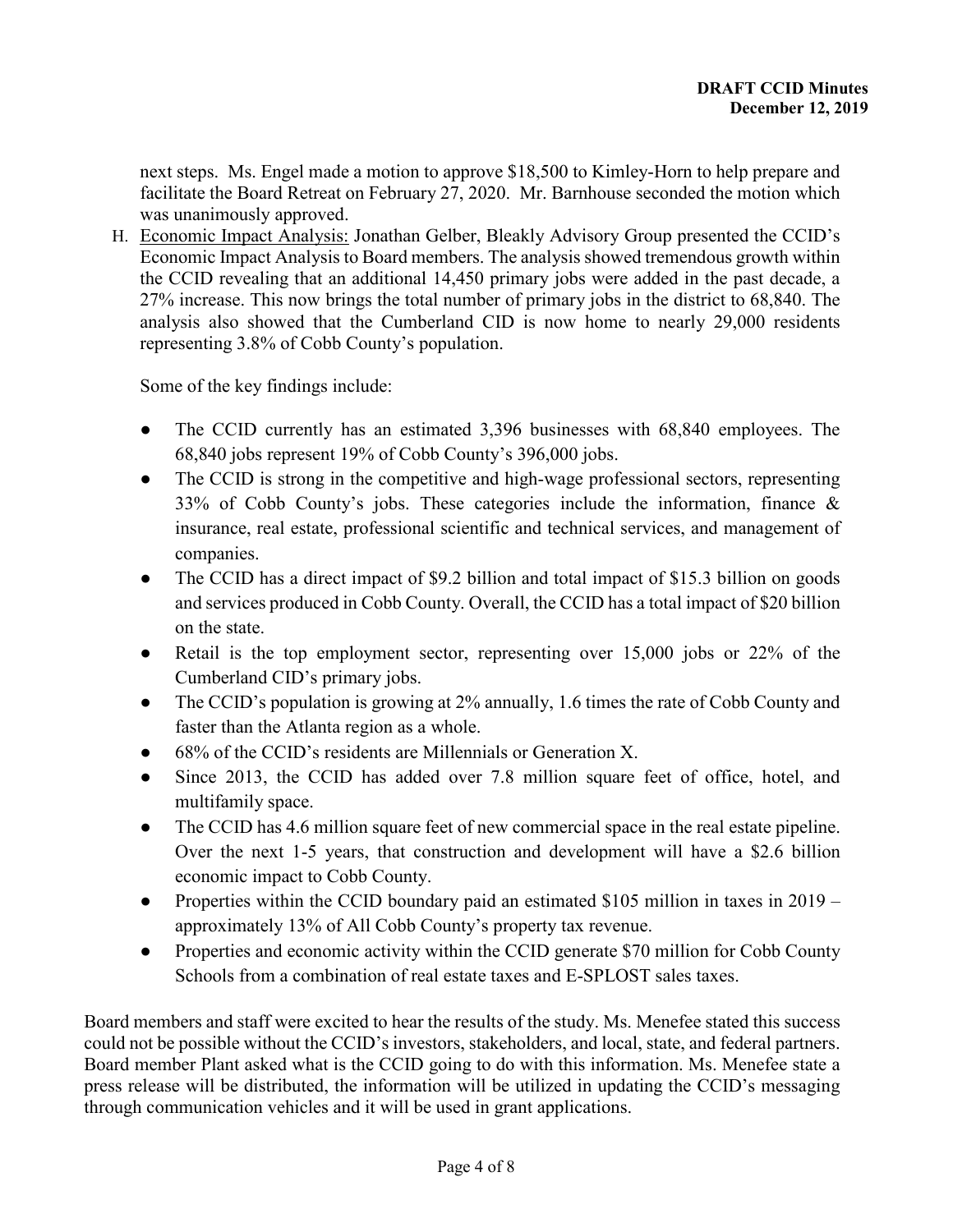next steps. Ms. Engel made a motion to approve \$18,500 to Kimley-Horn to help prepare and facilitate the Board Retreat on February 27, 2020. Mr. Barnhouse seconded the motion which was unanimously approved.

H. Economic Impact Analysis: Jonathan Gelber, Bleakly Advisory Group presented the CCID's Economic Impact Analysis to Board members. The analysis showed tremendous growth within the CCID revealing that an additional 14,450 primary jobs were added in the past decade, a 27% increase. This now brings the total number of primary jobs in the district to 68,840. The analysis also showed that the Cumberland CID is now home to nearly 29,000 residents representing 3.8% of Cobb County's population.

Some of the key findings include:

- The CCID currently has an estimated 3,396 businesses with 68,840 employees. The 68,840 jobs represent 19% of Cobb County's 396,000 jobs.
- The CCID is strong in the competitive and high-wage professional sectors, representing 33% of Cobb County's jobs. These categories include the information, finance & insurance, real estate, professional scientific and technical services, and management of companies.
- The CCID has a direct impact of \$9.2 billion and total impact of \$15.3 billion on goods and services produced in Cobb County. Overall, the CCID has a total impact of \$20 billion on the state.
- Retail is the top employment sector, representing over 15,000 jobs or 22% of the Cumberland CID's primary jobs.
- The CCID's population is growing at 2% annually, 1.6 times the rate of Cobb County and faster than the Atlanta region as a whole.
- 68% of the CCID's residents are Millennials or Generation X.
- Since 2013, the CCID has added over 7.8 million square feet of office, hotel, and multifamily space.
- The CCID has 4.6 million square feet of new commercial space in the real estate pipeline. Over the next 1-5 years, that construction and development will have a \$2.6 billion economic impact to Cobb County.
- Properties within the CCID boundary paid an estimated \$105 million in taxes in 2019 approximately 13% of All Cobb County's property tax revenue.
- Properties and economic activity within the CCID generate \$70 million for Cobb County Schools from a combination of real estate taxes and E-SPLOST sales taxes.

Board members and staff were excited to hear the results of the study. Ms. Menefee stated this success could not be possible without the CCID's investors, stakeholders, and local, state, and federal partners. Board member Plant asked what is the CCID going to do with this information. Ms. Menefee state a press release will be distributed, the information will be utilized in updating the CCID's messaging through communication vehicles and it will be used in grant applications.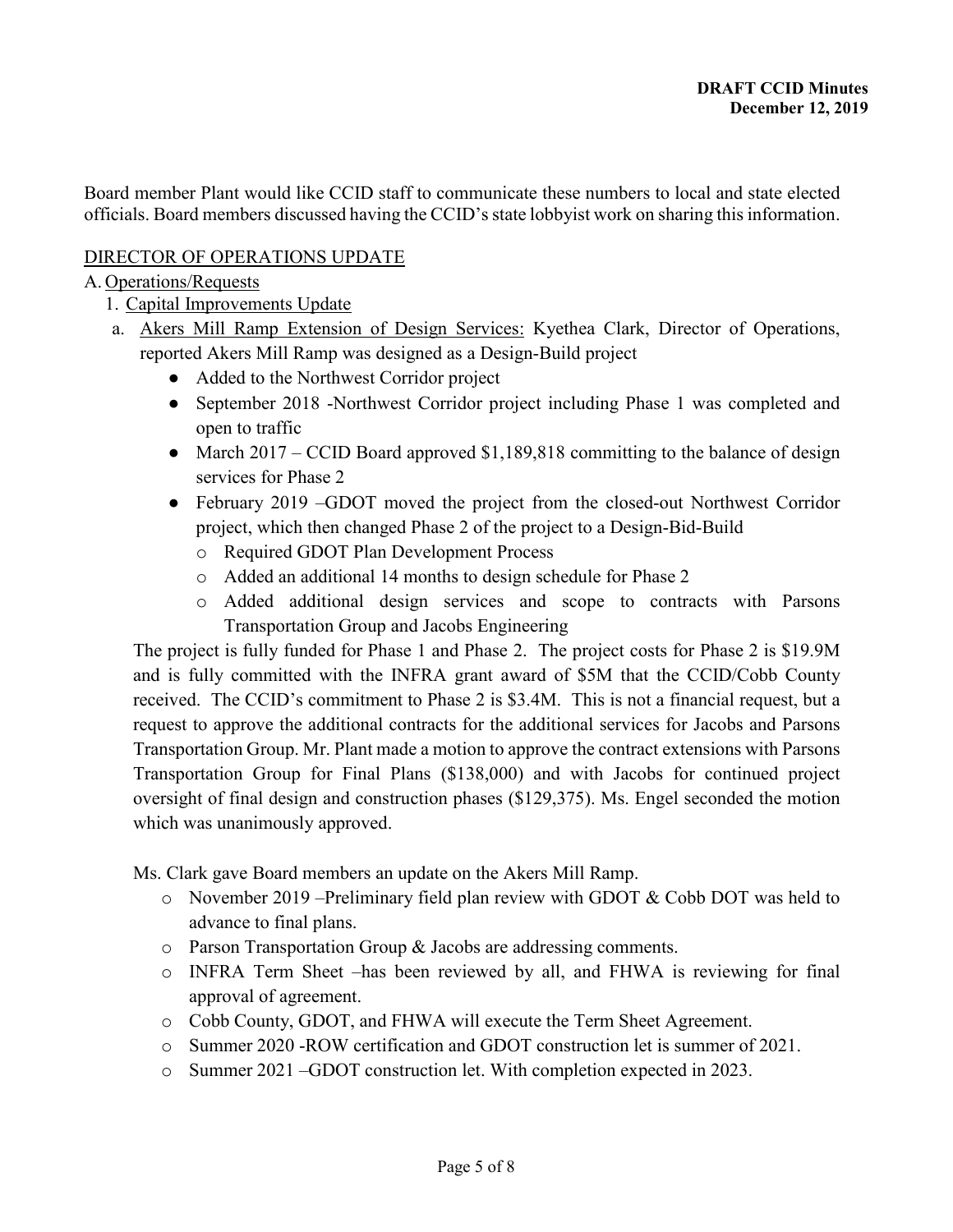Board member Plant would like CCID staff to communicate these numbers to local and state elected officials. Board members discussed having the CCID's state lobbyist work on sharing this information.

# DIRECTOR OF OPERATIONS UPDATE

## A. Operations/Requests

- 1. Capital Improvements Update
- a. Akers Mill Ramp Extension of Design Services: Kyethea Clark, Director of Operations, reported Akers Mill Ramp was designed as a Design-Build project
	- Added to the Northwest Corridor project
	- September 2018 -Northwest Corridor project including Phase 1 was completed and open to traffic
	- March 2017 CCID Board approved \$1,189,818 committing to the balance of design services for Phase 2
	- February 2019 –GDOT moved the project from the closed-out Northwest Corridor project, which then changed Phase 2 of the project to a Design-Bid-Build
		- o Required GDOT Plan Development Process
		- o Added an additional 14 months to design schedule for Phase 2
		- o Added additional design services and scope to contracts with Parsons Transportation Group and Jacobs Engineering

The project is fully funded for Phase 1 and Phase 2. The project costs for Phase 2 is \$19.9M and is fully committed with the INFRA grant award of \$5M that the CCID/Cobb County received. The CCID's commitment to Phase 2 is \$3.4M. This is not a financial request, but a request to approve the additional contracts for the additional services for Jacobs and Parsons Transportation Group. Mr. Plant made a motion to approve the contract extensions with Parsons Transportation Group for Final Plans (\$138,000) and with Jacobs for continued project oversight of final design and construction phases (\$129,375). Ms. Engel seconded the motion which was unanimously approved.

Ms. Clark gave Board members an update on the Akers Mill Ramp.

- o November 2019 –Preliminary field plan review with GDOT & Cobb DOT was held to advance to final plans.
- o Parson Transportation Group & Jacobs are addressing comments.
- o INFRA Term Sheet –has been reviewed by all, and FHWA is reviewing for final approval of agreement.
- o Cobb County, GDOT, and FHWA will execute the Term Sheet Agreement.
- o Summer 2020 -ROW certification and GDOT construction let is summer of 2021.
- o Summer 2021 –GDOT construction let. With completion expected in 2023.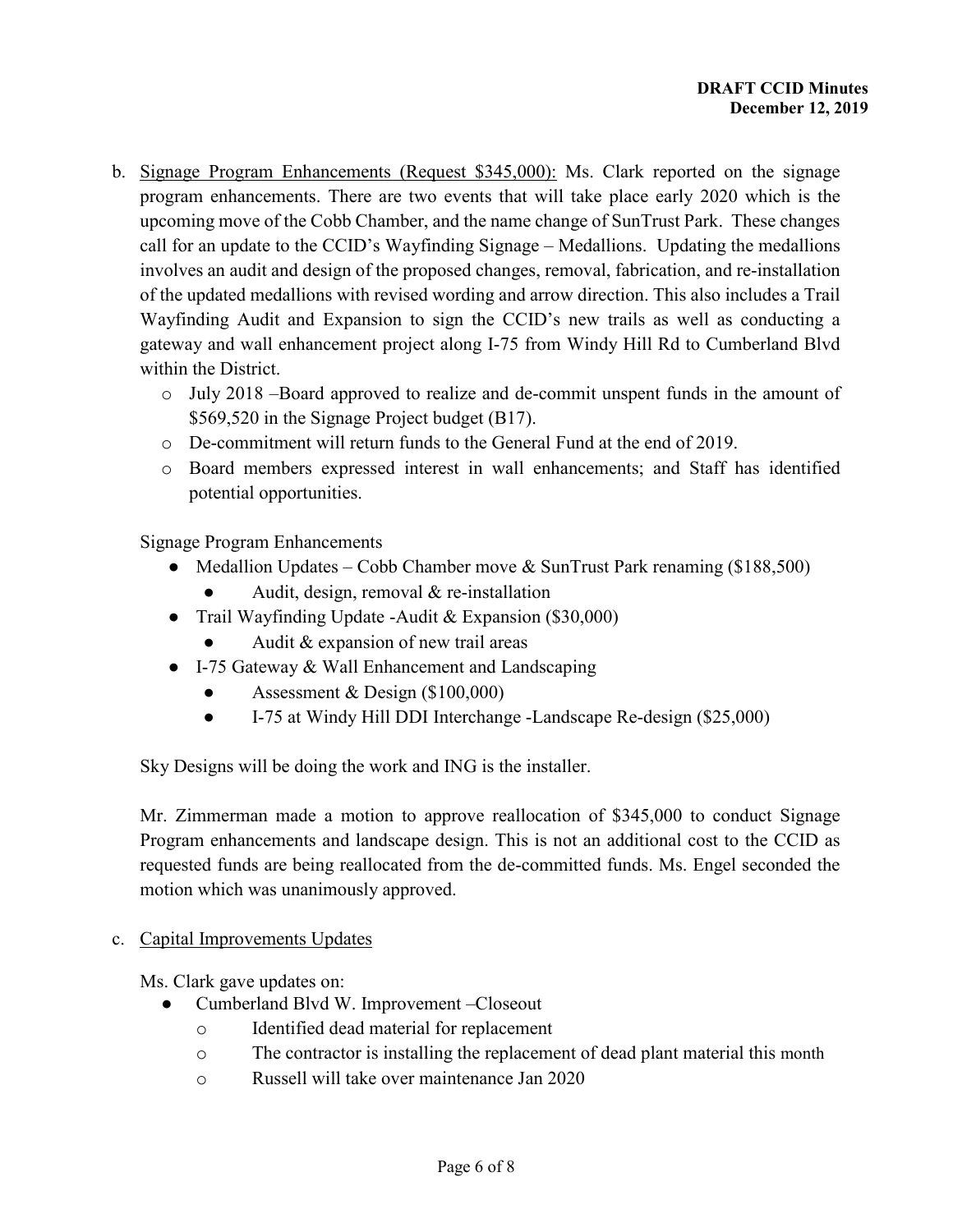- b. Signage Program Enhancements (Request \$345,000): Ms. Clark reported on the signage program enhancements. There are two events that will take place early 2020 which is the upcoming move of the Cobb Chamber, and the name change of SunTrust Park. These changes call for an update to the CCID's Wayfinding Signage – Medallions. Updating the medallions involves an audit and design of the proposed changes, removal, fabrication, and re-installation of the updated medallions with revised wording and arrow direction. This also includes a Trail Wayfinding Audit and Expansion to sign the CCID's new trails as well as conducting a gateway and wall enhancement project along I-75 from Windy Hill Rd to Cumberland Blvd within the District.
	- o July 2018 –Board approved to realize and de-commit unspent funds in the amount of \$569,520 in the Signage Project budget (B17).
	- o De-commitment will return funds to the General Fund at the end of 2019.
	- o Board members expressed interest in wall enhancements; and Staff has identified potential opportunities.

Signage Program Enhancements

- Medallion Updates Cobb Chamber move & SunTrust Park renaming (\$188,500)
	- Audit, design, removal  $&$  re-installation
- Trail Wayfinding Update -Audit & Expansion (\$30,000)
	- Audit  $&$  expansion of new trail areas
- I-75 Gateway & Wall Enhancement and Landscaping
	- Assessment & Design  $(\$100,000)$
	- I-75 at Windy Hill DDI Interchange -Landscape Re-design (\$25,000)

Sky Designs will be doing the work and ING is the installer.

Mr. Zimmerman made a motion to approve reallocation of \$345,000 to conduct Signage Program enhancements and landscape design. This is not an additional cost to the CCID as requested funds are being reallocated from the de-committed funds. Ms. Engel seconded the motion which was unanimously approved.

## c. Capital Improvements Updates

Ms. Clark gave updates on:

- Cumberland Blvd W. Improvement –Closeout
	- o Identified dead material for replacement
	- o The contractor is installing the replacement of dead plant material this month
	- o Russell will take over maintenance Jan 2020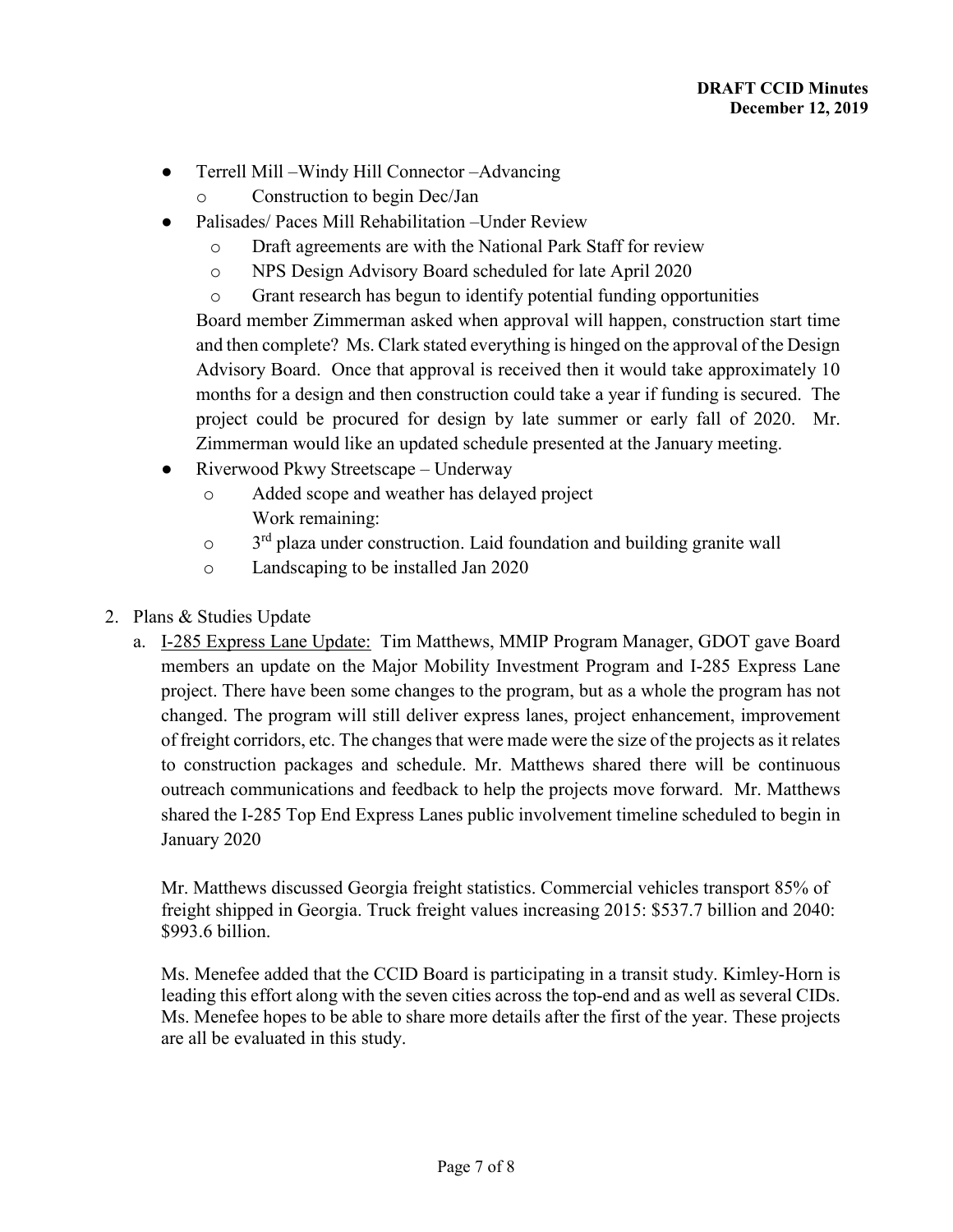- Terrell Mill –Windy Hill Connector –Advancing
	- o Construction to begin Dec/Jan
- Palisades/ Paces Mill Rehabilitation –Under Review
	- o Draft agreements are with the National Park Staff for review
	- o NPS Design Advisory Board scheduled for late April 2020
	- o Grant research has begun to identify potential funding opportunities

Board member Zimmerman asked when approval will happen, construction start time and then complete? Ms. Clark stated everything is hinged on the approval of the Design Advisory Board. Once that approval is received then it would take approximately 10 months for a design and then construction could take a year if funding is secured. The project could be procured for design by late summer or early fall of 2020. Mr. Zimmerman would like an updated schedule presented at the January meeting.

- Riverwood Pkwy Streetscape Underway
	- o Added scope and weather has delayed project Work remaining:
	- o 3<sup>rd</sup> plaza under construction. Laid foundation and building granite wall
	- o Landscaping to be installed Jan 2020
- 2. Plans & Studies Update
	- a. I-285 Express Lane Update: Tim Matthews, MMIP Program Manager, GDOT gave Board members an update on the Major Mobility Investment Program and I-285 Express Lane project. There have been some changes to the program, but as a whole the program has not changed. The program will still deliver express lanes, project enhancement, improvement of freight corridors, etc. The changes that were made were the size of the projects as it relates to construction packages and schedule. Mr. Matthews shared there will be continuous outreach communications and feedback to help the projects move forward. Mr. Matthews shared the I-285 Top End Express Lanes public involvement timeline scheduled to begin in January 2020

Mr. Matthews discussed Georgia freight statistics. Commercial vehicles transport 85% of freight shipped in Georgia. Truck freight values increasing 2015: \$537.7 billion and 2040: \$993.6 billion.

Ms. Menefee added that the CCID Board is participating in a transit study. Kimley-Horn is leading this effort along with the seven cities across the top-end and as well as several CIDs. Ms. Menefee hopes to be able to share more details after the first of the year. These projects are all be evaluated in this study.